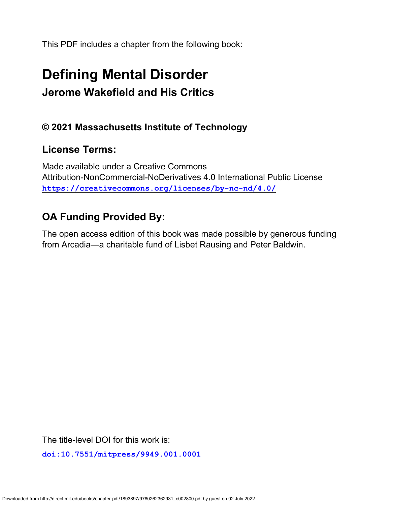This PDF includes a chapter from the following book:

# **Defining Mental Disorder Jerome Wakefield and His Critics**

### **© 2021 Massachusetts Institute of Technology**

# **License Terms:**

Made available under a Creative Commons Attribution-NonCommercial-NoDerivatives 4.0 International Public License **<https://creativecommons.org/licenses/by-nc-nd/4.0/>**

# **OA Funding Provided By:**

The open access edition of this book was made possible by generous funding from Arcadia—a charitable fund of Lisbet Rausing and Peter Baldwin.

The title-level DOI for this work is:

**[doi:10.7551/mitpress/9949.001.0001](https://doi.org/10.7551/mitpress/9949.001.0001)**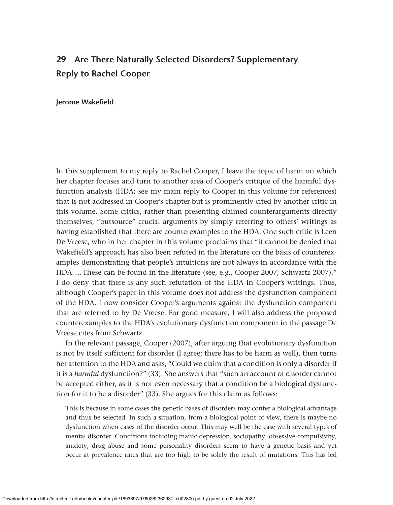## **29 Are There Naturally Selected Disorders? Supplementary Reply to Rachel Cooper**

**Jerome Wakefield**

In this supplement to my reply to Rachel Cooper, I leave the topic of harm on which her chapter focuses and turn to another area of Cooper's critique of the harmful dysfunction analysis (HDA; see my main reply to Cooper in this volume for references) that is not addressed in Cooper's chapter but is prominently cited by another critic in this volume. Some critics, rather than presenting claimed counterarguments directly themselves, "outsource" crucial arguments by simply referring to others' writings as having established that there are counterexamples to the HDA. One such critic is Leen De Vreese, who in her chapter in this volume proclaims that "it cannot be denied that Wakefield's approach has also been refuted in the literature on the basis of counterexamples demonstrating that people's intuitions are not always in accordance with the HDA.…These can be found in the literature (see, e.g., Cooper 2007; Schwartz 2007)." I do deny that there is any such refutation of the HDA in Cooper's writings. Thus, although Cooper's paper in this volume does not address the dysfunction component of the HDA, I now consider Cooper's arguments against the dysfunction component that are referred to by De Vreese. For good measure, I will also address the proposed counterexamples to the HDA's evolutionary dysfunction component in the passage De Vreese cites from Schwartz.

In the relevant passage, Cooper (2007), after arguing that evolutionary dysfunction is not by itself sufficient for disorder (I agree; there has to be harm as well), then turns her attention to the HDA and asks, "Could we claim that a condition is only a disorder if it is a *harmful* dysfunction?" (33). She answers that "such an account of disorder cannot be accepted either, as it is not even necessary that a condition be a biological dysfunction for it to be a disorder" (33). She argues for this claim as follows:

This is because in some cases the genetic bases of disorders may confer a biological advantage and thus be selected. In such a situation, from a biological point of view, there is maybe no dysfunction when cases of the disorder occur. This may well be the case with several types of mental disorder. Conditions including manic-depression, sociopathy, obsessive-compulsivity, anxiety, drug abuse and some personality disorders seem to have a genetic basis and yet occur at prevalence rates that are too high to be solely the result of mutations. This has led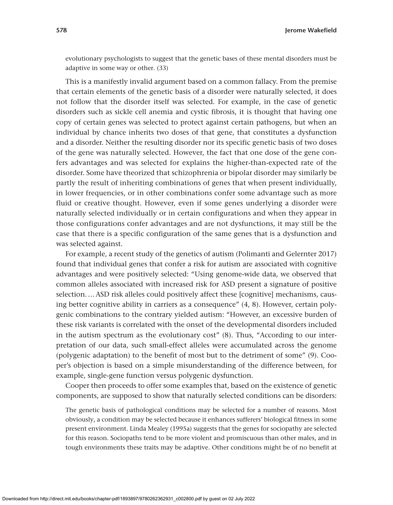evolutionary psychologists to suggest that the genetic bases of these mental disorders must be adaptive in some way or other. (33)

This is a manifestly invalid argument based on a common fallacy. From the premise that certain elements of the genetic basis of a disorder were naturally selected, it does not follow that the disorder itself was selected. For example, in the case of genetic disorders such as sickle cell anemia and cystic fibrosis, it is thought that having one copy of certain genes was selected to protect against certain pathogens, but when an individual by chance inherits two doses of that gene, that constitutes a dysfunction and a disorder. Neither the resulting disorder nor its specific genetic basis of two doses of the gene was naturally selected. However, the fact that one dose of the gene confers advantages and was selected for explains the higher-than-expected rate of the disorder. Some have theorized that schizophrenia or bipolar disorder may similarly be partly the result of inheriting combinations of genes that when present individually, in lower frequencies, or in other combinations confer some advantage such as more fluid or creative thought. However, even if some genes underlying a disorder were naturally selected individually or in certain configurations and when they appear in those configurations confer advantages and are not dysfunctions, it may still be the case that there is a specific configuration of the same genes that is a dysfunction and was selected against.

For example, a recent study of the genetics of autism (Polimanti and Gelernter 2017) found that individual genes that confer a risk for autism are associated with cognitive advantages and were positively selected: "Using genome-wide data, we observed that common alleles associated with increased risk for ASD present a signature of positive selection.…ASD risk alleles could positively affect these [cognitive] mechanisms, causing better cognitive ability in carriers as a consequence" (4, 8). However, certain polygenic combinations to the contrary yielded autism: "However, an excessive burden of these risk variants is correlated with the onset of the developmental disorders included in the autism spectrum as the evolutionary cost" (8). Thus, "According to our interpretation of our data, such small-effect alleles were accumulated across the genome (polygenic adaptation) to the benefit of most but to the detriment of some" (9). Cooper's objection is based on a simple misunderstanding of the difference between, for example, single-gene function versus polygenic dysfunction.

Cooper then proceeds to offer some examples that, based on the existence of genetic components, are supposed to show that naturally selected conditions can be disorders:

The genetic basis of pathological conditions may be selected for a number of reasons. Most obviously, a condition may be selected because it enhances sufferers' biological fitness in some present environment. Linda Mealey (1995a) suggests that the genes for sociopathy are selected for this reason. Sociopaths tend to be more violent and promiscuous than other males, and in tough environments these traits may be adaptive. Other conditions might be of no benefit at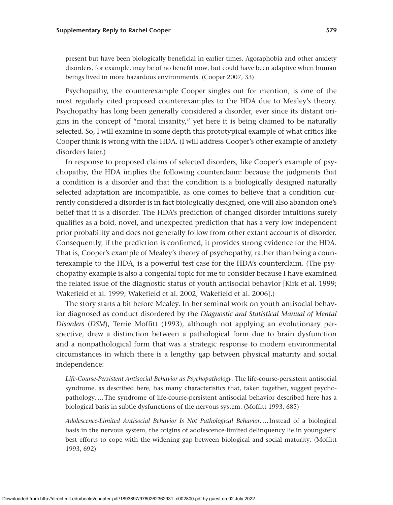present but have been biologically beneficial in earlier times. Agoraphobia and other anxiety disorders, for example, may be of no benefit now, but could have been adaptive when human beings lived in more hazardous environments. (Cooper 2007, 33)

Psychopathy, the counterexample Cooper singles out for mention, is one of the most regularly cited proposed counterexamples to the HDA due to Mealey's theory. Psychopathy has long been generally considered a disorder, ever since its distant origins in the concept of "moral insanity," yet here it is being claimed to be naturally selected. So, I will examine in some depth this prototypical example of what critics like Cooper think is wrong with the HDA. (I will address Cooper's other example of anxiety disorders later.)

In response to proposed claims of selected disorders, like Cooper's example of psychopathy, the HDA implies the following counterclaim: because the judgments that a condition is a disorder and that the condition is a biologically designed naturally selected adaptation are incompatible, as one comes to believe that a condition currently considered a disorder is in fact biologically designed, one will also abandon one's belief that it is a disorder. The HDA's prediction of changed disorder intuitions surely qualifies as a bold, novel, and unexpected prediction that has a very low independent prior probability and does not generally follow from other extant accounts of disorder. Consequently, if the prediction is confirmed, it provides strong evidence for the HDA. That is, Cooper's example of Mealey's theory of psychopathy, rather than being a counterexample to the HDA, is a powerful test case for the HDA's counterclaim. (The psychopathy example is also a congenial topic for me to consider because I have examined the related issue of the diagnostic status of youth antisocial behavior [Kirk et al. 1999; Wakefield et al. 1999; Wakefield et al. 2002; Wakefield et al. 2006].)

The story starts a bit before Mealey. In her seminal work on youth antisocial behavior diagnosed as conduct disordered by the *Diagnostic and Statistical Manual of Mental Disorders* (*DSM*), Terrie Moffitt (1993), although not applying an evolutionary perspective, drew a distinction between a pathological form due to brain dysfunction and a nonpathological form that was a strategic response to modern environmental circumstances in which there is a lengthy gap between physical maturity and social independence:

*Life-Course-Persistent Antisocial Behavior as Psychopathology.* The life-course-persistent antisocial syndrome, as described here, has many characteristics that, taken together, suggest psychopathology.…The syndrome of life-course-persistent antisocial behavior described here has a biological basis in subtle dysfunctions of the nervous system. (Moffitt 1993, 685)

*Adolescence-Limited Antisocial Behavior Is Not Pathological Behavior.…*Instead of a biological basis in the nervous system, the origins of adolescence-limited delinquency lie in youngsters' best efforts to cope with the widening gap between biological and social maturity. (Moffitt 1993, 692)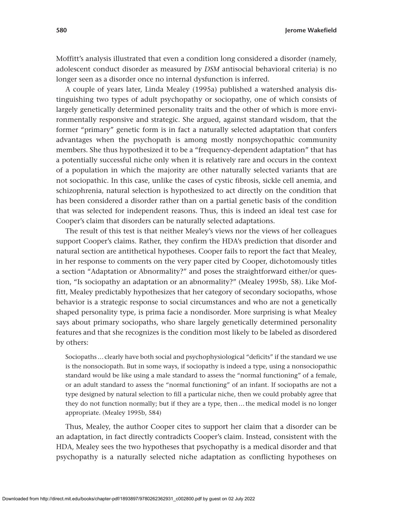Moffitt's analysis illustrated that even a condition long considered a disorder (namely, adolescent conduct disorder as measured by *DSM* antisocial behavioral criteria) is no longer seen as a disorder once no internal dysfunction is inferred.

A couple of years later, Linda Mealey (1995a) published a watershed analysis distinguishing two types of adult psychopathy or sociopathy, one of which consists of largely genetically determined personality traits and the other of which is more environmentally responsive and strategic. She argued, against standard wisdom, that the former "primary" genetic form is in fact a naturally selected adaptation that confers advantages when the psychopath is among mostly nonpsychopathic community members. She thus hypothesized it to be a "frequency-dependent adaptation" that has a potentially successful niche only when it is relatively rare and occurs in the context of a population in which the majority are other naturally selected variants that are not sociopathic. In this case, unlike the cases of cystic fibrosis, sickle cell anemia, and schizophrenia, natural selection is hypothesized to act directly on the condition that has been considered a disorder rather than on a partial genetic basis of the condition that was selected for independent reasons. Thus, this is indeed an ideal test case for Cooper's claim that disorders can be naturally selected adaptations.

The result of this test is that neither Mealey's views nor the views of her colleagues support Cooper's claims. Rather, they confirm the HDA's prediction that disorder and natural section are antithetical hypotheses. Cooper fails to report the fact that Mealey, in her response to comments on the very paper cited by Cooper, dichotomously titles a section "Adaptation or Abnormality?" and poses the straightforward either/or question, "Is sociopathy an adaptation or an abnormality?" (Mealey 1995b, 58). Like Moffitt, Mealey predictably hypothesizes that her category of secondary sociopaths, whose behavior is a strategic response to social circumstances and who are not a genetically shaped personality type, is prima facie a nondisorder. More surprising is what Mealey says about primary sociopaths, who share largely genetically determined personality features and that she recognizes is the condition most likely to be labeled as disordered by others:

Sociopaths…clearly have both social and psychophysiological "deficits" if the standard we use is the nonsociopath. But in some ways, if sociopathy is indeed a type, using a nonsociopathic standard would be like using a male standard to assess the "normal functioning" of a female, or an adult standard to assess the "normal functioning" of an infant. If sociopaths are not a type designed by natural selection to fill a particular niche, then we could probably agree that they do not function normally; but if they are a type, then…the medical model is no longer appropriate. (Mealey 1995b, 584)

Thus, Mealey, the author Cooper cites to support her claim that a disorder can be an adaptation, in fact directly contradicts Cooper's claim. Instead, consistent with the HDA, Mealey sees the two hypotheses that psychopathy is a medical disorder and that psychopathy is a naturally selected niche adaptation as conflicting hypotheses on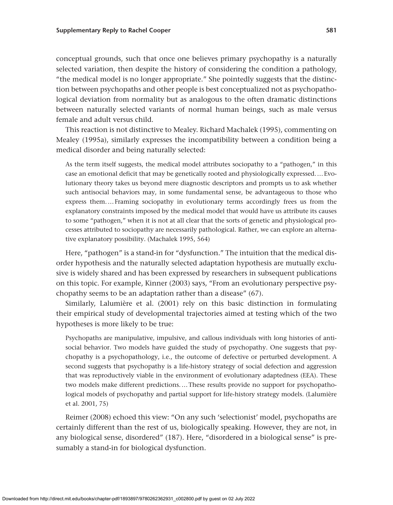conceptual grounds, such that once one believes primary psychopathy is a naturally selected variation, then despite the history of considering the condition a pathology, "the medical model is no longer appropriate." She pointedly suggests that the distinction between psychopaths and other people is best conceptualized not as psychopathological deviation from normality but as analogous to the often dramatic distinctions between naturally selected variants of normal human beings, such as male versus female and adult versus child.

This reaction is not distinctive to Mealey. Richard Machalek (1995), commenting on Mealey (1995a), similarly expresses the incompatibility between a condition being a medical disorder and being naturally selected:

As the term itself suggests, the medical model attributes sociopathy to a "pathogen," in this case an emotional deficit that may be genetically rooted and physiologically expressed.…Evolutionary theory takes us beyond mere diagnostic descriptors and prompts us to ask whether such antisocial behaviors may, in some fundamental sense, be advantageous to those who express them.…Framing sociopathy in evolutionary terms accordingly frees us from the explanatory constraints imposed by the medical model that would have us attribute its causes to some "pathogen," when it is not at all clear that the sorts of genetic and physiological processes attributed to sociopathy are necessarily pathological. Rather, we can explore an alternative explanatory possibility. (Machalek 1995, 564)

Here, "pathogen" is a stand-in for "dysfunction." The intuition that the medical disorder hypothesis and the naturally selected adaptation hypothesis are mutually exclusive is widely shared and has been expressed by researchers in subsequent publications on this topic. For example, Kinner (2003) says, "From an evolutionary perspective psychopathy seems to be an adaptation rather than a disease" (67).

Similarly, Lalumière et al. (2001) rely on this basic distinction in formulating their empirical study of developmental trajectories aimed at testing which of the two hypotheses is more likely to be true:

Psychopaths are manipulative, impulsive, and callous individuals with long histories of antisocial behavior. Two models have guided the study of psychopathy. One suggests that psychopathy is a psychopathology, i.e., the outcome of defective or perturbed development. A second suggests that psychopathy is a life-history strategy of social defection and aggression that was reproductively viable in the environment of evolutionary adaptedness (EEA). These two models make different predictions.…These results provide no support for psychopathological models of psychopathy and partial support for life-history strategy models. (Lalumière et al. 2001, 75)

Reimer (2008) echoed this view: "On any such 'selectionist' model, psychopaths are certainly different than the rest of us, biologically speaking. However, they are not, in any biological sense, disordered" (187). Here, "disordered in a biological sense" is presumably a stand-in for biological dysfunction.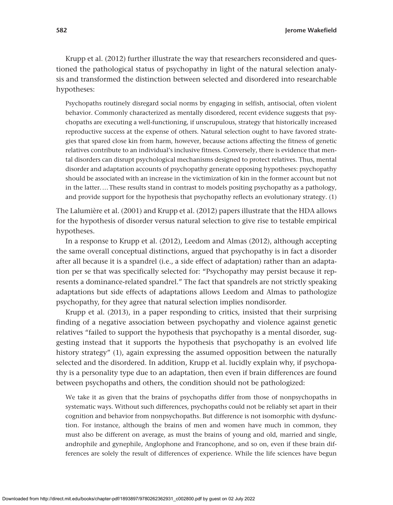Krupp et al. (2012) further illustrate the way that researchers reconsidered and questioned the pathological status of psychopathy in light of the natural selection analysis and transformed the distinction between selected and disordered into researchable hypotheses:

Psychopaths routinely disregard social norms by engaging in selfish, antisocial, often violent behavior. Commonly characterized as mentally disordered, recent evidence suggests that psychopaths are executing a well-functioning, if unscrupulous, strategy that historically increased reproductive success at the expense of others. Natural selection ought to have favored strategies that spared close kin from harm, however, because actions affecting the fitness of genetic relatives contribute to an individual's inclusive fitness. Conversely, there is evidence that mental disorders can disrupt psychological mechanisms designed to protect relatives. Thus, mental disorder and adaptation accounts of psychopathy generate opposing hypotheses: psychopathy should be associated with an increase in the victimization of kin in the former account but not in the latter.…These results stand in contrast to models positing psychopathy as a pathology, and provide support for the hypothesis that psychopathy reflects an evolutionary strategy. (1)

The Lalumière et al. (2001) and Krupp et al. (2012) papers illustrate that the HDA allows for the hypothesis of disorder versus natural selection to give rise to testable empirical hypotheses.

In a response to Krupp et al. (2012), Leedom and Almas (2012), although accepting the same overall conceptual distinctions, argued that psychopathy is in fact a disorder after all because it is a spandrel (i.e., a side effect of adaptation) rather than an adaptation per se that was specifically selected for: "Psychopathy may persist because it represents a dominance-related spandrel." The fact that spandrels are not strictly speaking adaptations but side effects of adaptations allows Leedom and Almas to pathologize psychopathy, for they agree that natural selection implies nondisorder.

Krupp et al. (2013), in a paper responding to critics, insisted that their surprising finding of a negative association between psychopathy and violence against genetic relatives "failed to support the hypothesis that psychopathy is a mental disorder, suggesting instead that it supports the hypothesis that psychopathy is an evolved life history strategy" (1), again expressing the assumed opposition between the naturally selected and the disordered. In addition, Krupp et al. lucidly explain why, if psychopathy is a personality type due to an adaptation, then even if brain differences are found between psychopaths and others, the condition should not be pathologized:

We take it as given that the brains of psychopaths differ from those of nonpsychopaths in systematic ways. Without such differences, psychopaths could not be reliably set apart in their cognition and behavior from nonpsychopaths. But difference is not isomorphic with dysfunction. For instance, although the brains of men and women have much in common, they must also be different on average, as must the brains of young and old, married and single, androphile and gynephile, Anglophone and Francophone, and so on, even if these brain differences are solely the result of differences of experience. While the life sciences have begun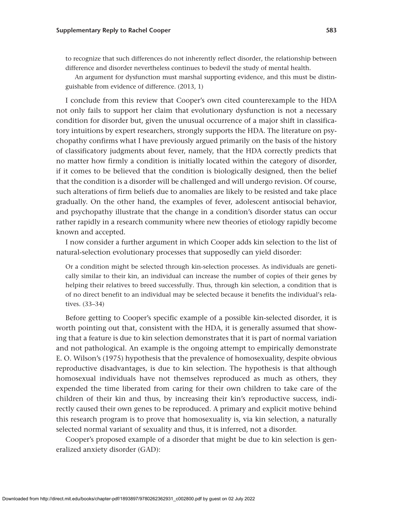to recognize that such differences do not inherently reflect disorder, the relationship between difference and disorder nevertheless continues to bedevil the study of mental health.

An argument for dysfunction must marshal supporting evidence, and this must be distinguishable from evidence of difference. (2013, 1)

I conclude from this review that Cooper's own cited counterexample to the HDA not only fails to support her claim that evolutionary dysfunction is not a necessary condition for disorder but, given the unusual occurrence of a major shift in classificatory intuitions by expert researchers, strongly supports the HDA. The literature on psychopathy confirms what I have previously argued primarily on the basis of the history of classificatory judgments about fever, namely, that the HDA correctly predicts that no matter how firmly a condition is initially located within the category of disorder, if it comes to be believed that the condition is biologically designed, then the belief that the condition is a disorder will be challenged and will undergo revision. Of course, such alterations of firm beliefs due to anomalies are likely to be resisted and take place gradually. On the other hand, the examples of fever, adolescent antisocial behavior, and psychopathy illustrate that the change in a condition's disorder status can occur rather rapidly in a research community where new theories of etiology rapidly become known and accepted.

I now consider a further argument in which Cooper adds kin selection to the list of natural-selection evolutionary processes that supposedly can yield disorder:

Or a condition might be selected through kin-selection processes. As individuals are genetically similar to their kin, an individual can increase the number of copies of their genes by helping their relatives to breed successfully. Thus, through kin selection, a condition that is of no direct benefit to an individual may be selected because it benefits the individual's relatives. (33–34)

Before getting to Cooper's specific example of a possible kin-selected disorder, it is worth pointing out that, consistent with the HDA, it is generally assumed that showing that a feature is due to kin selection demonstrates that it is part of normal variation and not pathological. An example is the ongoing attempt to empirically demonstrate E. O. Wilson's (1975) hypothesis that the prevalence of homosexuality, despite obvious reproductive disadvantages, is due to kin selection. The hypothesis is that although homosexual individuals have not themselves reproduced as much as others, they expended the time liberated from caring for their own children to take care of the children of their kin and thus, by increasing their kin's reproductive success, indirectly caused their own genes to be reproduced. A primary and explicit motive behind this research program is to prove that homosexuality is, via kin selection, a naturally selected normal variant of sexuality and thus, it is inferred, not a disorder.

Cooper's proposed example of a disorder that might be due to kin selection is generalized anxiety disorder (GAD):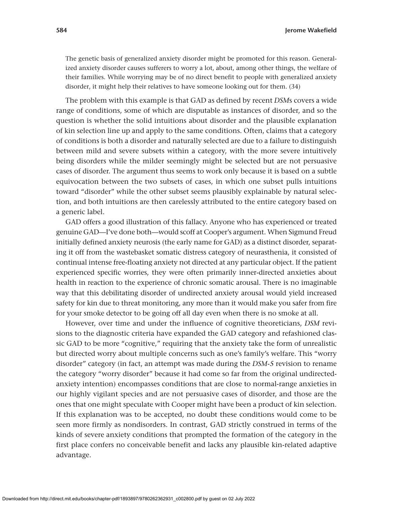The genetic basis of generalized anxiety disorder might be promoted for this reason. Generalized anxiety disorder causes sufferers to worry a lot, about, among other things, the welfare of their families. While worrying may be of no direct benefit to people with generalized anxiety disorder, it might help their relatives to have someone looking out for them. (34)

The problem with this example is that GAD as defined by recent *DSM*s covers a wide range of conditions, some of which are disputable as instances of disorder, and so the question is whether the solid intuitions about disorder and the plausible explanation of kin selection line up and apply to the same conditions. Often, claims that a category of conditions is both a disorder and naturally selected are due to a failure to distinguish between mild and severe subsets within a category, with the more severe intuitively being disorders while the milder seemingly might be selected but are not persuasive cases of disorder. The argument thus seems to work only because it is based on a subtle equivocation between the two subsets of cases, in which one subset pulls intuitions toward "disorder" while the other subset seems plausibly explainable by natural selection, and both intuitions are then carelessly attributed to the entire category based on a generic label.

GAD offers a good illustration of this fallacy. Anyone who has experienced or treated genuine GAD—I've done both—would scoff at Cooper's argument. When Sigmund Freud initially defined anxiety neurosis (the early name for GAD) as a distinct disorder, separating it off from the wastebasket somatic distress category of neurasthenia, it consisted of continual intense free-floating anxiety not directed at any particular object. If the patient experienced specific worries, they were often primarily inner-directed anxieties about health in reaction to the experience of chronic somatic arousal. There is no imaginable way that this debilitating disorder of undirected anxiety arousal would yield increased safety for kin due to threat monitoring, any more than it would make you safer from fire for your smoke detector to be going off all day even when there is no smoke at all.

However, over time and under the influence of cognitive theoreticians, *DSM* revisions to the diagnostic criteria have expanded the GAD category and refashioned classic GAD to be more "cognitive," requiring that the anxiety take the form of unrealistic but directed worry about multiple concerns such as one's family's welfare. This "worry disorder" category (in fact, an attempt was made during the *DSM-5* revision to rename the category "worry disorder" because it had come so far from the original undirectedanxiety intention) encompasses conditions that are close to normal-range anxieties in our highly vigilant species and are not persuasive cases of disorder, and those are the ones that one might speculate with Cooper might have been a product of kin selection. If this explanation was to be accepted, no doubt these conditions would come to be seen more firmly as nondisorders. In contrast, GAD strictly construed in terms of the kinds of severe anxiety conditions that prompted the formation of the category in the first place confers no conceivable benefit and lacks any plausible kin-related adaptive advantage.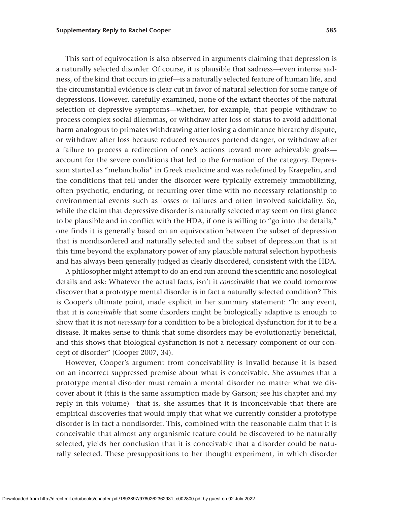This sort of equivocation is also observed in arguments claiming that depression is a naturally selected disorder. Of course, it is plausible that sadness—even intense sadness, of the kind that occurs in grief—is a naturally selected feature of human life, and the circumstantial evidence is clear cut in favor of natural selection for some range of depressions. However, carefully examined, none of the extant theories of the natural selection of depressive symptoms—whether, for example, that people withdraw to process complex social dilemmas, or withdraw after loss of status to avoid additional harm analogous to primates withdrawing after losing a dominance hierarchy dispute, or withdraw after loss because reduced resources portend danger, or withdraw after a failure to process a redirection of one's actions toward more achievable goals account for the severe conditions that led to the formation of the category. Depression started as "melancholia" in Greek medicine and was redefined by Kraepelin, and the conditions that fell under the disorder were typically extremely immobilizing, often psychotic, enduring, or recurring over time with no necessary relationship to environmental events such as losses or failures and often involved suicidality. So, while the claim that depressive disorder is naturally selected may seem on first glance to be plausible and in conflict with the HDA, if one is willing to "go into the details," one finds it is generally based on an equivocation between the subset of depression that is nondisordered and naturally selected and the subset of depression that is at this time beyond the explanatory power of any plausible natural selection hypothesis and has always been generally judged as clearly disordered, consistent with the HDA.

A philosopher might attempt to do an end run around the scientific and nosological details and ask: Whatever the actual facts, isn't it *conceivable* that we could tomorrow discover that a prototype mental disorder is in fact a naturally selected condition? This is Cooper's ultimate point, made explicit in her summary statement: "In any event, that it is *conceivable* that some disorders might be biologically adaptive is enough to show that it is not *necessary* for a condition to be a biological dysfunction for it to be a disease. It makes sense to think that some disorders may be evolutionarily beneficial, and this shows that biological dysfunction is not a necessary component of our concept of disorder" (Cooper 2007, 34).

However, Cooper's argument from conceivability is invalid because it is based on an incorrect suppressed premise about what is conceivable. She assumes that a prototype mental disorder must remain a mental disorder no matter what we discover about it (this is the same assumption made by Garson; see his chapter and my reply in this volume)—that is, she assumes that it is inconceivable that there are empirical discoveries that would imply that what we currently consider a prototype disorder is in fact a nondisorder. This, combined with the reasonable claim that it is conceivable that almost any organismic feature could be discovered to be naturally selected, yields her conclusion that it is conceivable that a disorder could be naturally selected. These presuppositions to her thought experiment, in which disorder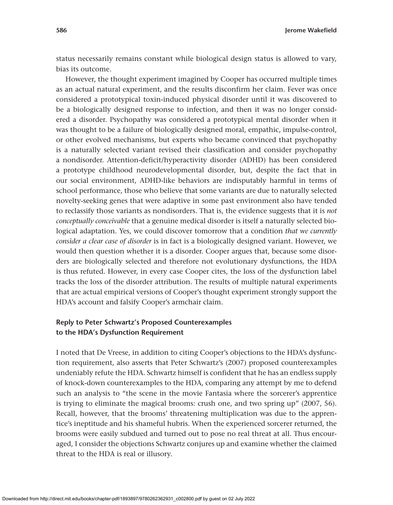status necessarily remains constant while biological design status is allowed to vary, bias its outcome.

However, the thought experiment imagined by Cooper has occurred multiple times as an actual natural experiment, and the results disconfirm her claim. Fever was once considered a prototypical toxin-induced physical disorder until it was discovered to be a biologically designed response to infection, and then it was no longer considered a disorder. Psychopathy was considered a prototypical mental disorder when it was thought to be a failure of biologically designed moral, empathic, impulse-control, or other evolved mechanisms, but experts who became convinced that psychopathy is a naturally selected variant revised their classification and consider psychopathy a nondisorder. Attention-deficit/hyperactivity disorder (ADHD) has been considered a prototype childhood neurodevelopmental disorder, but, despite the fact that in our social environment, ADHD-like behaviors are indisputably harmful in terms of school performance, those who believe that some variants are due to naturally selected novelty-seeking genes that were adaptive in some past environment also have tended to reclassify those variants as nondisorders. That is, the evidence suggests that it is *not conceptually conceivable* that a genuine medical disorder is itself a naturally selected biological adaptation. Yes, we could discover tomorrow that a condition *that we currently consider a clear case of disorder* is in fact is a biologically designed variant. However, we would then question whether it is a disorder. Cooper argues that, because some disorders are biologically selected and therefore not evolutionary dysfunctions, the HDA is thus refuted. However, in every case Cooper cites, the loss of the dysfunction label tracks the loss of the disorder attribution. The results of multiple natural experiments that are actual empirical versions of Cooper's thought experiment strongly support the HDA's account and falsify Cooper's armchair claim.

### **Reply to Peter Schwartz's Proposed Counterexamples to the HDA's Dysfunction Requirement**

I noted that De Vreese, in addition to citing Cooper's objections to the HDA's dysfunction requirement, also asserts that Peter Schwartz's (2007) proposed counterexamples undeniably refute the HDA. Schwartz himself is confident that he has an endless supply of knock-down counterexamples to the HDA, comparing any attempt by me to defend such an analysis to "the scene in the movie Fantasia where the sorcerer's apprentice is trying to eliminate the magical brooms: crush one, and two spring up" (2007, 56). Recall, however, that the brooms' threatening multiplication was due to the apprentice's ineptitude and his shameful hubris. When the experienced sorcerer returned, the brooms were easily subdued and turned out to pose no real threat at all. Thus encouraged, I consider the objections Schwartz conjures up and examine whether the claimed threat to the HDA is real or illusory.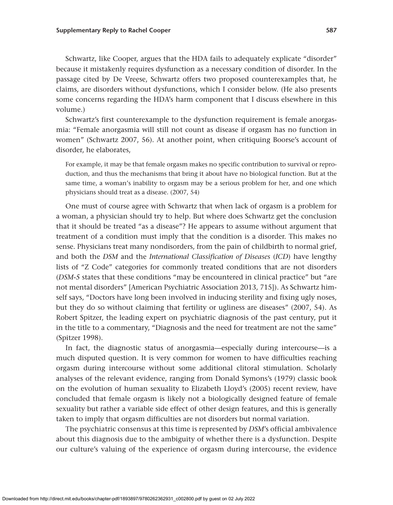Schwartz, like Cooper, argues that the HDA fails to adequately explicate "disorder" because it mistakenly requires dysfunction as a necessary condition of disorder. In the passage cited by De Vreese, Schwartz offers two proposed counterexamples that, he claims, are disorders without dysfunctions, which I consider below. (He also presents some concerns regarding the HDA's harm component that I discuss elsewhere in this volume.)

Schwartz's first counterexample to the dysfunction requirement is female anorgasmia: "Female anorgasmia will still not count as disease if orgasm has no function in women" (Schwartz 2007, 56). At another point, when critiquing Boorse's account of disorder, he elaborates,

For example, it may be that female orgasm makes no specific contribution to survival or reproduction, and thus the mechanisms that bring it about have no biological function. But at the same time, a woman's inability to orgasm may be a serious problem for her, and one which physicians should treat as a disease. (2007, 54)

One must of course agree with Schwartz that when lack of orgasm is a problem for a woman, a physician should try to help. But where does Schwartz get the conclusion that it should be treated "as a disease"? He appears to assume without argument that treatment of a condition must imply that the condition is a disorder. This makes no sense. Physicians treat many nondisorders, from the pain of childbirth to normal grief, and both the *DSM* and the *International Classification of Diseases* (*ICD*) have lengthy lists of "Z Code" categories for commonly treated conditions that are not disorders (*DSM-5* states that these conditions "may be encountered in clinical practice" but "are not mental disorders" [American Psychiatric Association 2013, 715]). As Schwartz himself says, "Doctors have long been involved in inducing sterility and fixing ugly noses, but they do so without claiming that fertility or ugliness are diseases" (2007, 54). As Robert Spitzer, the leading expert on psychiatric diagnosis of the past century, put it in the title to a commentary, "Diagnosis and the need for treatment are not the same" (Spitzer 1998).

In fact, the diagnostic status of anorgasmia—especially during intercourse—is a much disputed question. It is very common for women to have difficulties reaching orgasm during intercourse without some additional clitoral stimulation. Scholarly analyses of the relevant evidence, ranging from Donald Symons's (1979) classic book on the evolution of human sexuality to Elizabeth Lloyd's (2005) recent review, have concluded that female orgasm is likely not a biologically designed feature of female sexuality but rather a variable side effect of other design features, and this is generally taken to imply that orgasm difficulties are not disorders but normal variation.

The psychiatric consensus at this time is represented by *DSM*'s official ambivalence about this diagnosis due to the ambiguity of whether there is a dysfunction. Despite our culture's valuing of the experience of orgasm during intercourse, the evidence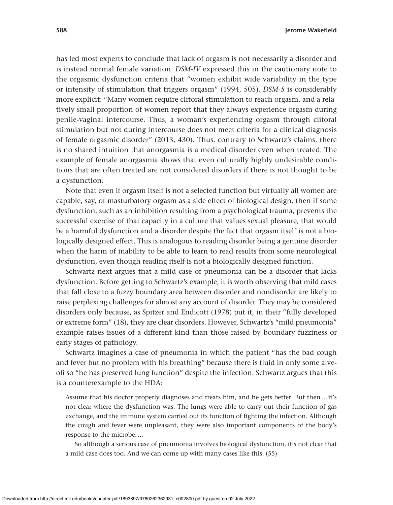has led most experts to conclude that lack of orgasm is not necessarily a disorder and is instead normal female variation. *DSM-IV* expressed this in the cautionary note to the orgasmic dysfunction criteria that "women exhibit wide variability in the type or intensity of stimulation that triggers orgasm" (1994, 505). *DSM-5* is considerably more explicit: "Many women require clitoral stimulation to reach orgasm, and a relatively small proportion of women report that they always experience orgasm during penile-vaginal intercourse. Thus, a woman's experiencing orgasm through clitoral stimulation but not during intercourse does not meet criteria for a clinical diagnosis of female orgasmic disorder" (2013, 430). Thus, contrary to Schwartz's claims, there is no shared intuition that anorgasmia is a medical disorder even when treated. The example of female anorgasmia shows that even culturally highly undesirable conditions that are often treated are not considered disorders if there is not thought to be a dysfunction.

Note that even if orgasm itself is not a selected function but virtually all women are capable, say, of masturbatory orgasm as a side effect of biological design, then if some dysfunction, such as an inhibition resulting from a psychological trauma, prevents the successful exercise of that capacity in a culture that values sexual pleasure, that would be a harmful dysfunction and a disorder despite the fact that orgasm itself is not a biologically designed effect. This is analogous to reading disorder being a genuine disorder when the harm of inability to be able to learn to read results from some neurological dysfunction, even though reading itself is not a biologically designed function.

Schwartz next argues that a mild case of pneumonia can be a disorder that lacks dysfunction. Before getting to Schwartz's example, it is worth observing that mild cases that fall close to a fuzzy boundary area between disorder and nondisorder are likely to raise perplexing challenges for almost any account of disorder. They may be considered disorders only because, as Spitzer and Endicott (1978) put it, in their "fully developed or extreme form" (18), they are clear disorders. However, Schwartz's "mild pneumonia" example raises issues of a different kind than those raised by boundary fuzziness or early stages of pathology.

Schwartz imagines a case of pneumonia in which the patient "has the bad cough and fever but no problem with his breathing" because there is fluid in only some alveoli so "he has preserved lung function" despite the infection. Schwartz argues that this is a counterexample to the HDA:

Assume that his doctor properly diagnoses and treats him, and he gets better. But then…it's not clear where the dysfunction was. The lungs were able to carry out their function of gas exchange, and the immune system carried out its function of fighting the infection. Although the cough and fever were unpleasant, they were also important components of the body's response to the microbe.…

So although a serious case of pneumonia involves biological dysfunction, it's not clear that a mild case does too. And we can come up with many cases like this. (55)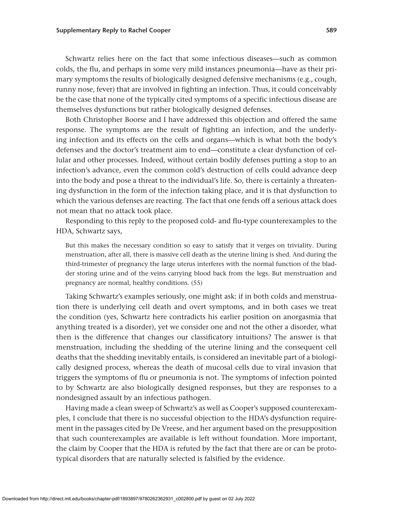Schwartz relies here on the fact that some infectious diseases—such as common colds, the flu, and perhaps in some very mild instances pneumonia—have as their primary symptoms the results of biologically designed defensive mechanisms (e.g., cough, runny nose, fever) that are involved in fighting an infection. Thus, it could conceivably be the case that none of the typically cited symptoms of a specific infectious disease are themselves dysfunctions but rather biologically designed defenses.

Both Christopher Boorse and I have addressed this objection and offered the same response. The symptoms are the result of fighting an infection, and the underlying infection and its effects on the cells and organs—which is what both the body's defenses and the doctor's treatment aim to end—constitute a clear dysfunction of cellular and other processes. Indeed, without certain bodily defenses putting a stop to an infection's advance, even the common cold's destruction of cells could advance deep into the body and pose a threat to the individual's life. So, there is certainly a threatening dysfunction in the form of the infection taking place, and it is that dysfunction to which the various defenses are reacting. The fact that one fends off a serious attack does not mean that no attack took place.

Responding to this reply to the proposed cold- and flu-type counterexamples to the HDA, Schwartz says,

But this makes the necessary condition so easy to satisfy that it verges on triviality. During menstruation, after all, there is massive cell death as the uterine lining is shed. And during the third-trimester of pregnancy the large uterus interferes with the normal function of the bladder storing urine and of the veins carrying blood back from the legs. But menstruation and pregnancy are normal, healthy conditions. (55)

Taking Schwartz's examples seriously, one might ask: if in both colds and menstruation there is underlying cell death and overt symptoms, and in both cases we treat the condition (yes, Schwartz here contradicts his earlier position on anorgasmia that anything treated is a disorder), yet we consider one and not the other a disorder, what then is the difference that changes our classificatory intuitions? The answer is that menstruation, including the shedding of the uterine lining and the consequent cell deaths that the shedding inevitably entails, is considered an inevitable part of a biologically designed process, whereas the death of mucosal cells due to viral invasion that triggers the symptoms of flu or pneumonia is not. The symptoms of infection pointed to by Schwartz are also biologically designed responses, but they are responses to a nondesigned assault by an infectious pathogen.

Having made a clean sweep of Schwartz's as well as Cooper's supposed counterexamples, I conclude that there is no successful objection to the HDA's dysfunction requirement in the passages cited by De Vreese, and her argument based on the presupposition that such counterexamples are available is left without foundation. More important, the claim by Cooper that the HDA is refuted by the fact that there are or can be prototypical disorders that are naturally selected is falsified by the evidence.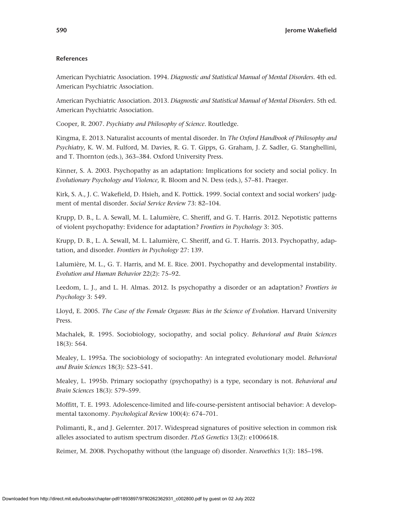#### **References**

American Psychiatric Association. 1994. *Diagnostic and Statistical Manual of Mental Disorders.* 4th ed. American Psychiatric Association.

American Psychiatric Association. 2013. *Diagnostic and Statistical Manual of Mental Disorders*. 5th ed. American Psychiatric Association.

Cooper, R. 2007. *Psychiatry and Philosophy of Science*. Routledge.

Kingma, E. 2013. Naturalist accounts of mental disorder. In *The Oxford Handbook of Philosophy and Psychiatry,* K. W. M. Fulford, M. Davies, R. G. T. Gipps, G. Graham, J. Z. Sadler, G. Stanghellini, and T. Thornton (eds.), 363–384. Oxford University Press.

Kinner, S. A. 2003. Psychopathy as an adaptation: Implications for society and social policy. In *Evolutionary Psychology and Violence,* R. Bloom and N. Dess (eds.), 57–81. Praeger.

Kirk, S. A., J. C. Wakefield, D. Hsieh, and K. Pottick. 1999. Social context and social workers' judgment of mental disorder. *Social Service Review* 73: 82–104.

Krupp, D. B., L. A. Sewall, M. L. Lalumière, C. Sheriff, and G. T. Harris. 2012. Nepotistic patterns of violent psychopathy: Evidence for adaptation? *Frontiers in Psychology* 3: 305.

Krupp, D. B., L. A. Sewall, M. L. Lalumière, C. Sheriff, and G. T. Harris. 2013. Psychopathy, adaptation, and disorder. *Frontiers in Psychology* 27: 139.

Lalumière, M. L., G. T. Harris, and M. E. Rice. 2001. Psychopathy and developmental instability. *Evolution and Human Behavior* 22(2): 75–92.

Leedom, L. J., and L. H. Almas. 2012. Is psychopathy a disorder or an adaptation? *Frontiers in Psychology* 3: 549.

Lloyd, E. 2005. *The Case of the Female Orgasm: Bias in the Science of Evolution*. Harvard University Press.

Machalek, R. 1995. Sociobiology, sociopathy, and social policy. *Behavioral and Brain Sciences* 18(3): 564.

Mealey, L. 1995a. The sociobiology of sociopathy: An integrated evolutionary model. *Behavioral and Brain Sciences* 18(3): 523–541.

Mealey, L. 1995b. Primary sociopathy (psychopathy) is a type, secondary is not. *Behavioral and Brain Sciences* 18(3): 579–599.

Moffitt, T. E. 1993. Adolescence-limited and life-course-persistent antisocial behavior: A developmental taxonomy. *Psychological Review* 100(4): 674–701.

Polimanti, R., and J. Gelernter. 2017. Widespread signatures of positive selection in common risk alleles associated to autism spectrum disorder. *PLoS Genetics* 13(2): e1006618.

Reimer, M. 2008. Psychopathy without (the language of) disorder. *Neuroethics* 1(3): 185–198.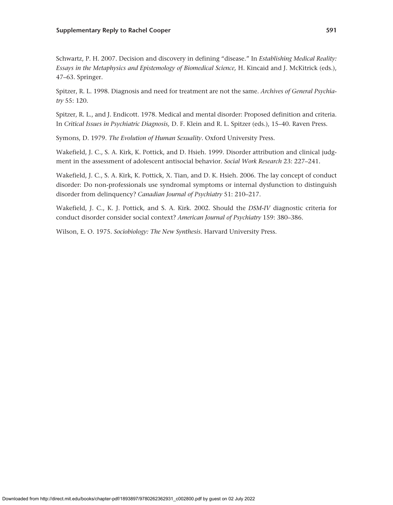Schwartz, P. H. 2007. Decision and discovery in defining "disease." In *Establishing Medical Reality: Essays in the Metaphysics and Epistemology of Biomedical Science,* H. Kincaid and J. McKitrick (eds.), 47–63. Springer.

Spitzer, R. L. 1998. Diagnosis and need for treatment are not the same. *Archives of General Psychiatry* 55: 120.

Spitzer, R. L., and J. Endicott. 1978. Medical and mental disorder: Proposed definition and criteria. In *Critical Issues in Psychiatric Diagnosis,* D. F. Klein and R. L. Spitzer (eds.), 15–40. Raven Press.

Symons, D. 1979. *The Evolution of Human Sexuality*. Oxford University Press.

Wakefield, J. C., S. A. Kirk, K. Pottick, and D. Hsieh. 1999. Disorder attribution and clinical judgment in the assessment of adolescent antisocial behavior. *Social Work Research* 23: 227–241.

Wakefield, J. C., S. A. Kirk, K. Pottick, X. Tian, and D. K. Hsieh. 2006. The lay concept of conduct disorder: Do non-professionals use syndromal symptoms or internal dysfunction to distinguish disorder from delinquency? *Canadian Journal of Psychiatry* 51: 210–217.

Wakefield, J. C., K. J. Pottick, and S. A. Kirk. 2002. Should the *DSM-IV* diagnostic criteria for conduct disorder consider social context? *American Journal of Psychiatry* 159: 380–386.

Wilson, E. O. 1975. *Sociobiology: The New Synthesis*. Harvard University Press.